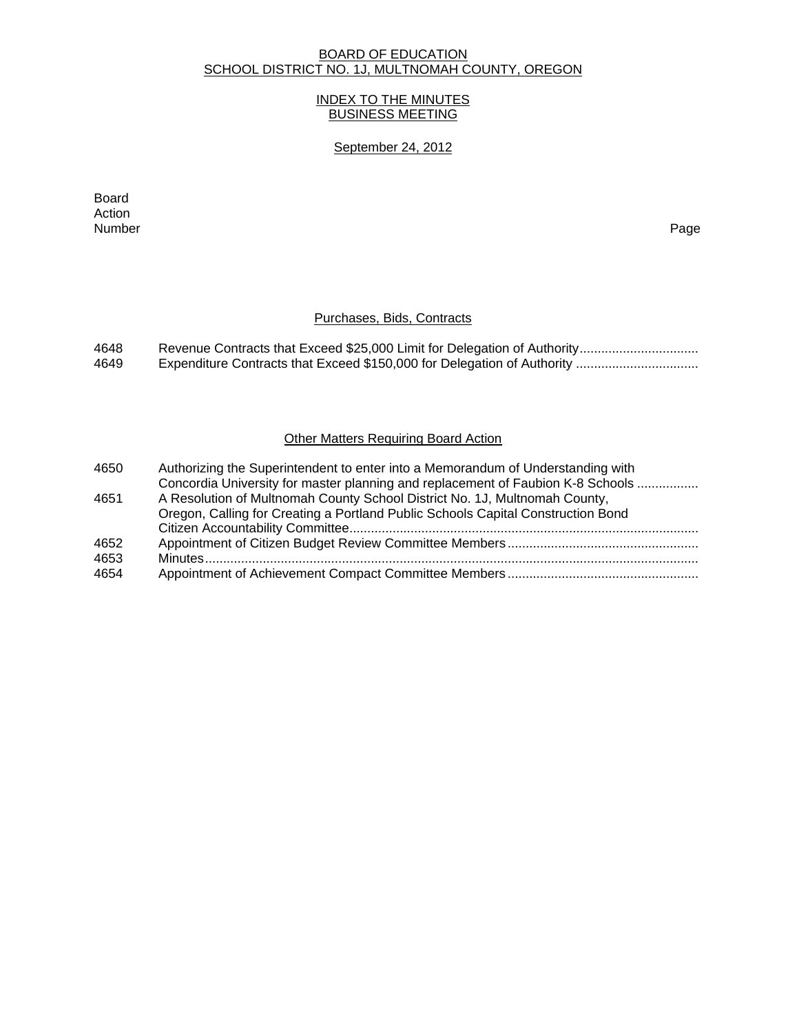# BOARD OF EDUCATION SCHOOL DISTRICT NO. 1J, MULTNOMAH COUNTY, OREGON

## INDEX TO THE MINUTES BUSINESS MEETING

## September 24, 2012

extending the control of the control of the control of the control of the control of the control of the control of the control of the control of the control of the control of the control of the control of the control of th Action<br>Number Number Page

# Purchases, Bids, Contracts

| 4648 |  |
|------|--|
| 4649 |  |

# **Other Matters Requiring Board Action**

| 4650 | Authorizing the Superintendent to enter into a Memorandum of Understanding with  |
|------|----------------------------------------------------------------------------------|
|      | Concordia University for master planning and replacement of Faubion K-8 Schools  |
| 4651 | A Resolution of Multnomah County School District No. 1J, Multnomah County,       |
|      | Oregon, Calling for Creating a Portland Public Schools Capital Construction Bond |
|      |                                                                                  |
| 4652 |                                                                                  |
| 4653 |                                                                                  |
| 4654 |                                                                                  |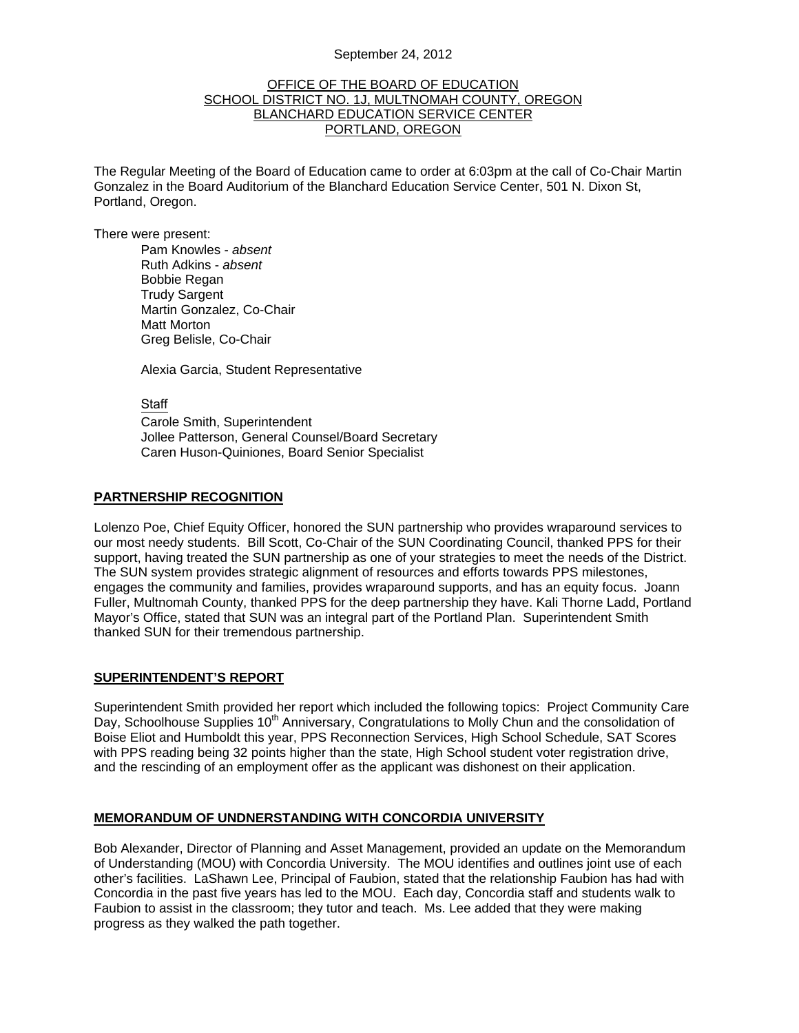#### September 24, 2012

#### OFFICE OF THE BOARD OF EDUCATION SCHOOL DISTRICT NO. 1J, MULTNOMAH COUNTY, OREGON BLANCHARD EDUCATION SERVICE CENTER PORTLAND, OREGON

The Regular Meeting of the Board of Education came to order at 6:03pm at the call of Co-Chair Martin Gonzalez in the Board Auditorium of the Blanchard Education Service Center, 501 N. Dixon St, Portland, Oregon.

There were present: Pam Knowles - *absent* Ruth Adkins - *absent* Bobbie Regan Trudy Sargent Martin Gonzalez, Co-Chair Matt Morton Greg Belisle, Co-Chair

Alexia Garcia, Student Representative

**Staff** 

 Carole Smith, Superintendent Jollee Patterson, General Counsel/Board Secretary Caren Huson-Quiniones, Board Senior Specialist

#### **PARTNERSHIP RECOGNITION**

Lolenzo Poe, Chief Equity Officer, honored the SUN partnership who provides wraparound services to our most needy students. Bill Scott, Co-Chair of the SUN Coordinating Council, thanked PPS for their support, having treated the SUN partnership as one of your strategies to meet the needs of the District. The SUN system provides strategic alignment of resources and efforts towards PPS milestones, engages the community and families, provides wraparound supports, and has an equity focus. Joann Fuller, Multnomah County, thanked PPS for the deep partnership they have. Kali Thorne Ladd, Portland Mayor's Office, stated that SUN was an integral part of the Portland Plan. Superintendent Smith thanked SUN for their tremendous partnership.

#### **SUPERINTENDENT'S REPORT**

Superintendent Smith provided her report which included the following topics: Project Community Care Day, Schoolhouse Supplies 10<sup>th</sup> Anniversary, Congratulations to Molly Chun and the consolidation of Boise Eliot and Humboldt this year, PPS Reconnection Services, High School Schedule, SAT Scores with PPS reading being 32 points higher than the state, High School student voter registration drive, and the rescinding of an employment offer as the applicant was dishonest on their application.

#### **MEMORANDUM OF UNDNERSTANDING WITH CONCORDIA UNIVERSITY**

Bob Alexander, Director of Planning and Asset Management, provided an update on the Memorandum of Understanding (MOU) with Concordia University. The MOU identifies and outlines joint use of each other's facilities. LaShawn Lee, Principal of Faubion, stated that the relationship Faubion has had with Concordia in the past five years has led to the MOU. Each day, Concordia staff and students walk to Faubion to assist in the classroom; they tutor and teach. Ms. Lee added that they were making progress as they walked the path together.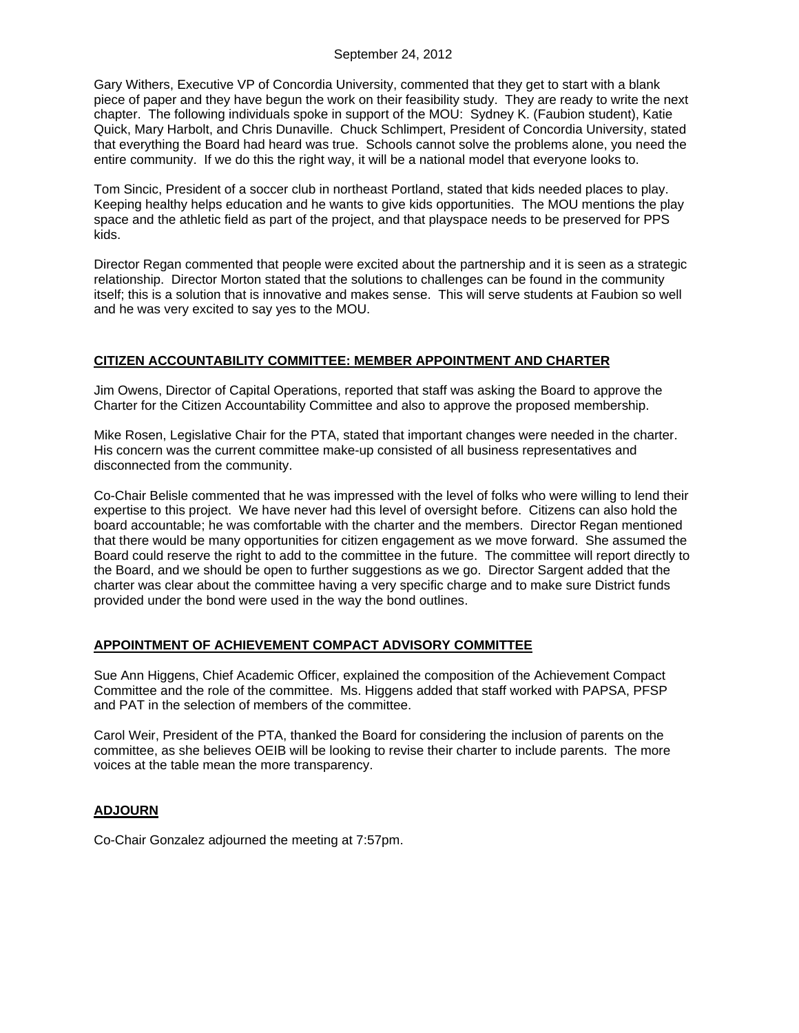Gary Withers, Executive VP of Concordia University, commented that they get to start with a blank piece of paper and they have begun the work on their feasibility study. They are ready to write the next chapter. The following individuals spoke in support of the MOU: Sydney K. (Faubion student), Katie Quick, Mary Harbolt, and Chris Dunaville. Chuck Schlimpert, President of Concordia University, stated that everything the Board had heard was true. Schools cannot solve the problems alone, you need the entire community. If we do this the right way, it will be a national model that everyone looks to.

Tom Sincic, President of a soccer club in northeast Portland, stated that kids needed places to play. Keeping healthy helps education and he wants to give kids opportunities. The MOU mentions the play space and the athletic field as part of the project, and that playspace needs to be preserved for PPS kids.

Director Regan commented that people were excited about the partnership and it is seen as a strategic relationship. Director Morton stated that the solutions to challenges can be found in the community itself; this is a solution that is innovative and makes sense. This will serve students at Faubion so well and he was very excited to say yes to the MOU.

# **CITIZEN ACCOUNTABILITY COMMITTEE: MEMBER APPOINTMENT AND CHARTER**

Jim Owens, Director of Capital Operations, reported that staff was asking the Board to approve the Charter for the Citizen Accountability Committee and also to approve the proposed membership.

Mike Rosen, Legislative Chair for the PTA, stated that important changes were needed in the charter. His concern was the current committee make-up consisted of all business representatives and disconnected from the community.

Co-Chair Belisle commented that he was impressed with the level of folks who were willing to lend their expertise to this project. We have never had this level of oversight before. Citizens can also hold the board accountable; he was comfortable with the charter and the members. Director Regan mentioned that there would be many opportunities for citizen engagement as we move forward. She assumed the Board could reserve the right to add to the committee in the future. The committee will report directly to the Board, and we should be open to further suggestions as we go. Director Sargent added that the charter was clear about the committee having a very specific charge and to make sure District funds provided under the bond were used in the way the bond outlines.

# **APPOINTMENT OF ACHIEVEMENT COMPACT ADVISORY COMMITTEE**

Sue Ann Higgens, Chief Academic Officer, explained the composition of the Achievement Compact Committee and the role of the committee. Ms. Higgens added that staff worked with PAPSA, PFSP and PAT in the selection of members of the committee.

Carol Weir, President of the PTA, thanked the Board for considering the inclusion of parents on the committee, as she believes OEIB will be looking to revise their charter to include parents. The more voices at the table mean the more transparency.

# **ADJOURN**

Co-Chair Gonzalez adjourned the meeting at 7:57pm.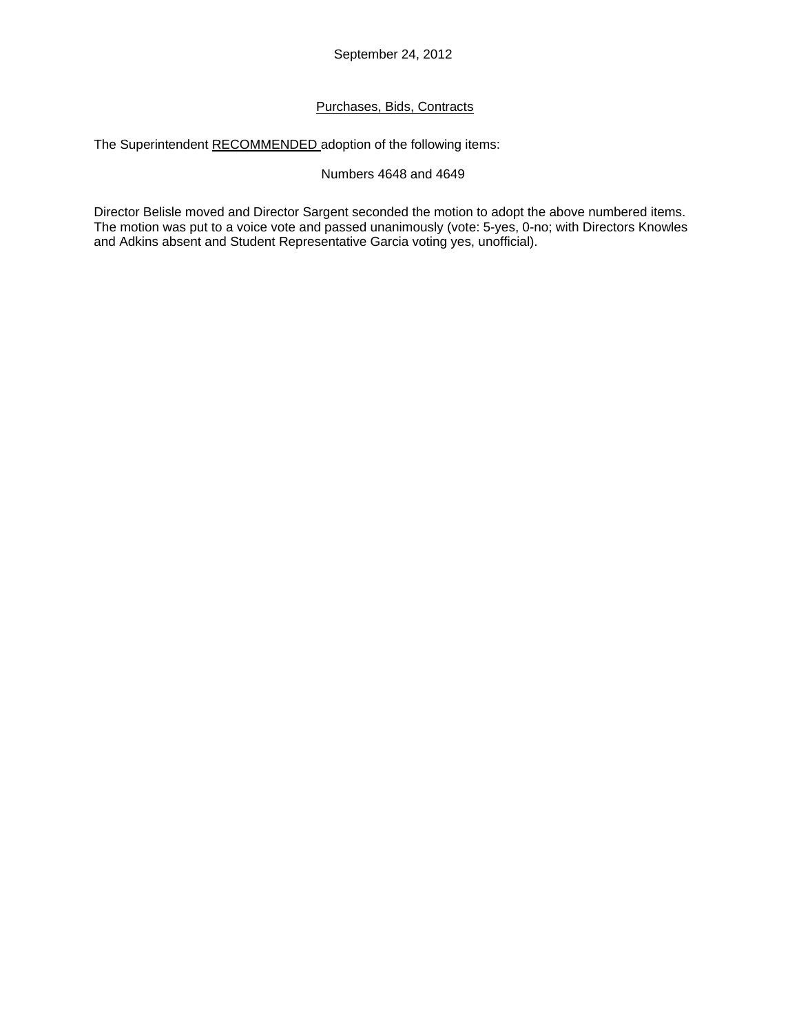# Purchases, Bids, Contracts

The Superintendent RECOMMENDED adoption of the following items:

## Numbers 4648 and 4649

Director Belisle moved and Director Sargent seconded the motion to adopt the above numbered items. The motion was put to a voice vote and passed unanimously (vote: 5-yes, 0-no; with Directors Knowles and Adkins absent and Student Representative Garcia voting yes, unofficial).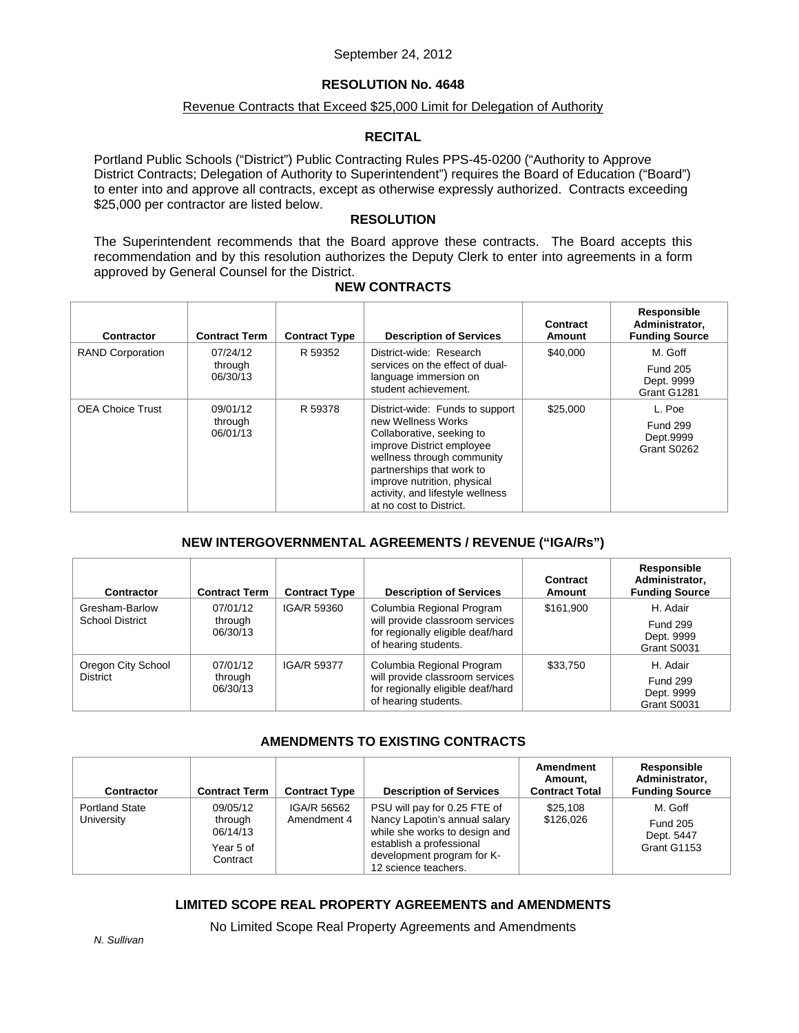#### September 24, 2012

# **RESOLUTION No. 4648**

## Revenue Contracts that Exceed \$25,000 Limit for Delegation of Authority

### **RECITAL**

Portland Public Schools ("District") Public Contracting Rules PPS-45-0200 ("Authority to Approve District Contracts; Delegation of Authority to Superintendent") requires the Board of Education ("Board") to enter into and approve all contracts, except as otherwise expressly authorized. Contracts exceeding \$25,000 per contractor are listed below.

## **RESOLUTION**

The Superintendent recommends that the Board approve these contracts. The Board accepts this recommendation and by this resolution authorizes the Deputy Clerk to enter into agreements in a form approved by General Counsel for the District.

# **NEW CONTRACTS**

| Contractor              | <b>Contract Term</b>            | <b>Contract Type</b> | <b>Description of Services</b>                                                                                                                                                                                                                                           | Contract<br>Amount | Responsible<br>Administrator,<br><b>Funding Source</b>  |
|-------------------------|---------------------------------|----------------------|--------------------------------------------------------------------------------------------------------------------------------------------------------------------------------------------------------------------------------------------------------------------------|--------------------|---------------------------------------------------------|
| <b>RAND Corporation</b> | 07/24/12<br>through<br>06/30/13 | R 59352              | District-wide: Research<br>services on the effect of dual-<br>language immersion on<br>student achievement.                                                                                                                                                              | \$40,000           | M. Goff<br><b>Fund 205</b><br>Dept. 9999<br>Grant G1281 |
| <b>OEA Choice Trust</b> | 09/01/12<br>through<br>06/01/13 | R 59378              | District-wide: Funds to support<br>new Wellness Works<br>Collaborative, seeking to<br>improve District employee<br>wellness through community<br>partnerships that work to<br>improve nutrition, physical<br>activity, and lifestyle wellness<br>at no cost to District. | \$25,000           | L. Poe<br><b>Fund 299</b><br>Dept.9999<br>Grant S0262   |

# **NEW INTERGOVERNMENTAL AGREEMENTS / REVENUE ("IGA/Rs")**

| Contractor             | <b>Contract Term</b>            | <b>Contract Type</b>                                                                         | <b>Description of Services</b>                                                                                            | Contract<br>Amount                           | Responsible<br>Administrator,<br><b>Funding Source</b> |
|------------------------|---------------------------------|----------------------------------------------------------------------------------------------|---------------------------------------------------------------------------------------------------------------------------|----------------------------------------------|--------------------------------------------------------|
| Gresham-Barlow         | 07/01/12<br>through<br>06/30/13 | IGA/R 59360                                                                                  | Columbia Regional Program<br>will provide classroom services<br>for regionally eligible deaf/hard<br>of hearing students. | \$161,900                                    | H. Adair                                               |
| <b>School District</b> |                                 |                                                                                              |                                                                                                                           |                                              | <b>Fund 299</b><br>Dept. 9999<br>Grant S0031           |
| Oregon City School     | 07/01/12                        | IGA/R 59377                                                                                  | Columbia Regional Program                                                                                                 | \$33.750                                     | H. Adair                                               |
| <b>District</b>        | through<br>06/30/13             | will provide classroom services<br>for regionally eligible deaf/hard<br>of hearing students. |                                                                                                                           | <b>Fund 299</b><br>Dept. 9999<br>Grant S0031 |                                                        |

# **AMENDMENTS TO EXISTING CONTRACTS**

| Contractor                          | <b>Contract Term</b>                                     | <b>Contract Type</b>       | <b>Description of Services</b>                                                                                                                                                   | Amendment<br>Amount,<br><b>Contract Total</b> | Responsible<br>Administrator.<br><b>Funding Source</b>  |
|-------------------------------------|----------------------------------------------------------|----------------------------|----------------------------------------------------------------------------------------------------------------------------------------------------------------------------------|-----------------------------------------------|---------------------------------------------------------|
| <b>Portland State</b><br>University | 09/05/12<br>through<br>06/14/13<br>Year 5 of<br>Contract | IGA/R 56562<br>Amendment 4 | PSU will pay for 0.25 FTE of<br>Nancy Lapotin's annual salary<br>while she works to design and<br>establish a professional<br>development program for K-<br>12 science teachers. | \$25,108<br>\$126.026                         | M. Goff<br><b>Fund 205</b><br>Dept. 5447<br>Grant G1153 |

# **LIMITED SCOPE REAL PROPERTY AGREEMENTS and AMENDMENTS**

No Limited Scope Real Property Agreements and Amendments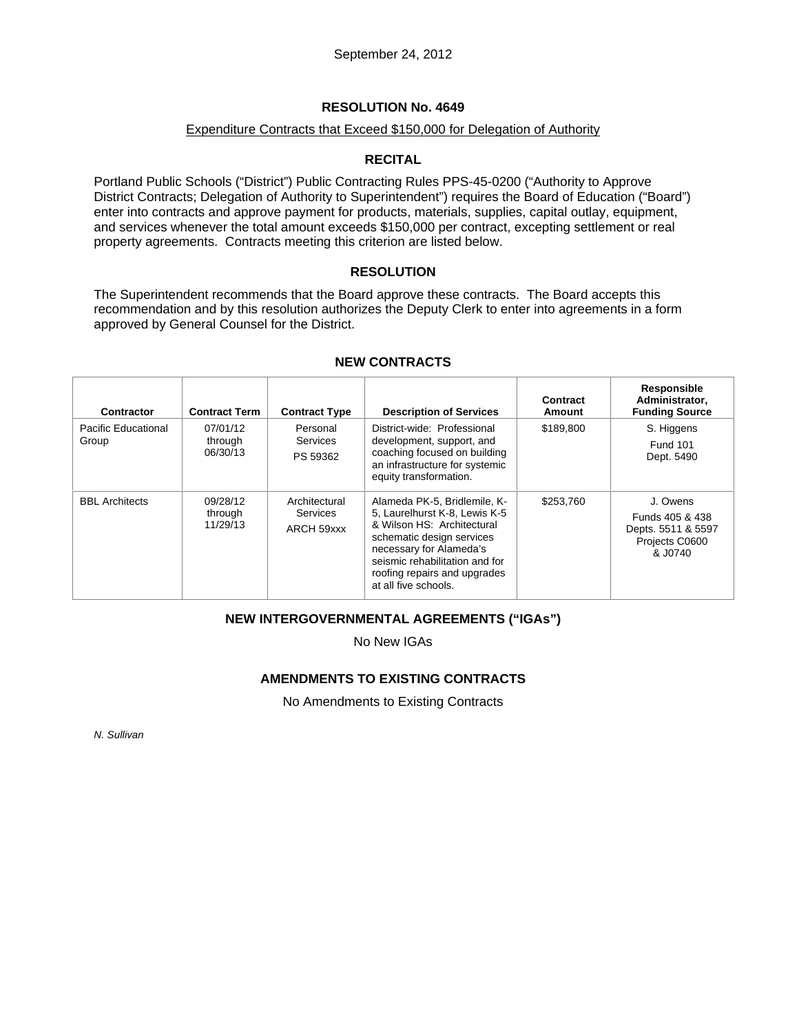# **RESOLUTION No. 4649**

## Expenditure Contracts that Exceed \$150,000 for Delegation of Authority

# **RECITAL**

Portland Public Schools ("District") Public Contracting Rules PPS-45-0200 ("Authority to Approve District Contracts; Delegation of Authority to Superintendent") requires the Board of Education ("Board") enter into contracts and approve payment for products, materials, supplies, capital outlay, equipment, and services whenever the total amount exceeds \$150,000 per contract, excepting settlement or real property agreements. Contracts meeting this criterion are listed below.

### **RESOLUTION**

The Superintendent recommends that the Board approve these contracts. The Board accepts this recommendation and by this resolution authorizes the Deputy Clerk to enter into agreements in a form approved by General Counsel for the District.

| Contractor                   | <b>Contract Term</b>            | <b>Contract Type</b>                           | <b>Description of Services</b>                                                                                                                                                                                                                | Contract<br>Amount | Responsible<br>Administrator,<br><b>Funding Source</b>                         |
|------------------------------|---------------------------------|------------------------------------------------|-----------------------------------------------------------------------------------------------------------------------------------------------------------------------------------------------------------------------------------------------|--------------------|--------------------------------------------------------------------------------|
| Pacific Educational<br>Group | 07/01/12<br>through<br>06/30/13 | Personal<br>Services<br>PS 59362               | District-wide: Professional<br>development, support, and<br>coaching focused on building<br>an infrastructure for systemic<br>equity transformation.                                                                                          | \$189,800          | S. Higgens<br><b>Fund 101</b><br>Dept. 5490                                    |
| <b>BBL Architects</b>        | 09/28/12<br>through<br>11/29/13 | Architectural<br><b>Services</b><br>ARCH 59xxx | Alameda PK-5, Bridlemile, K-<br>5. Laurelhurst K-8. Lewis K-5<br>& Wilson HS: Architectural<br>schematic design services<br>necessary for Alameda's<br>seismic rehabilitation and for<br>roofing repairs and upgrades<br>at all five schools. | \$253.760          | J. Owens<br>Funds 405 & 438<br>Depts. 5511 & 5597<br>Projects C0600<br>& J0740 |

### **NEW CONTRACTS**

# **NEW INTERGOVERNMENTAL AGREEMENTS ("IGAs")**

No New IGAs

# **AMENDMENTS TO EXISTING CONTRACTS**

No Amendments to Existing Contracts

*N. Sullivan*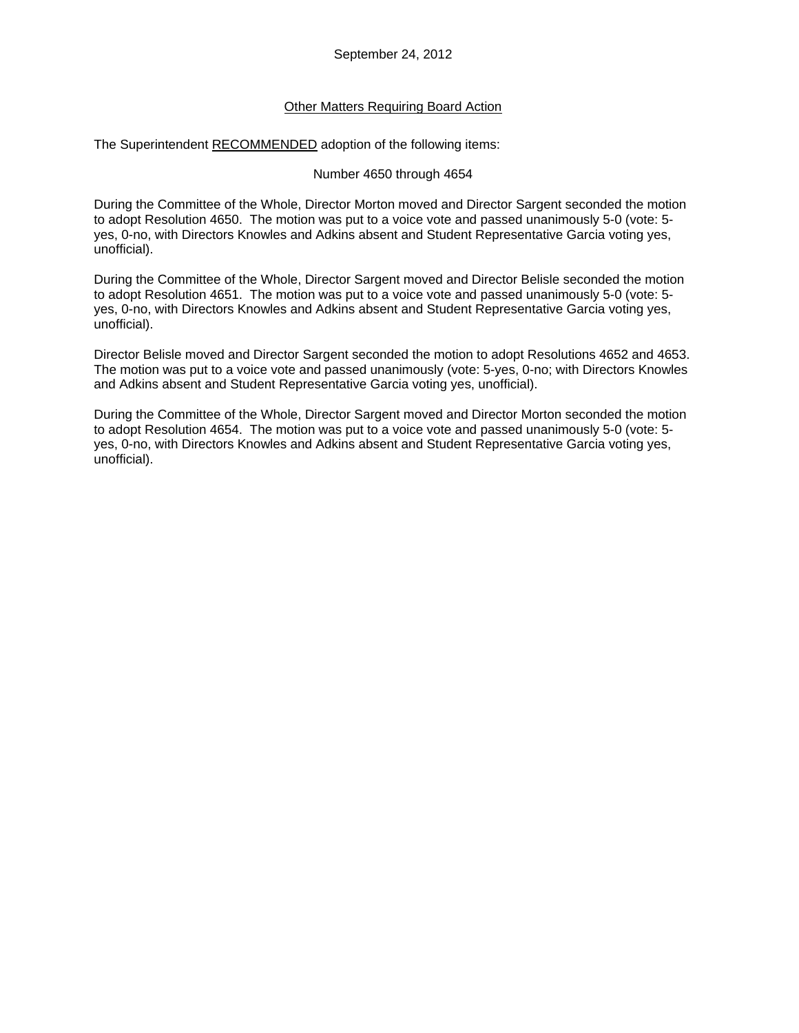## **Other Matters Requiring Board Action**

The Superintendent RECOMMENDED adoption of the following items:

#### Number 4650 through 4654

During the Committee of the Whole, Director Morton moved and Director Sargent seconded the motion to adopt Resolution 4650. The motion was put to a voice vote and passed unanimously 5-0 (vote: 5 yes, 0-no, with Directors Knowles and Adkins absent and Student Representative Garcia voting yes, unofficial).

During the Committee of the Whole, Director Sargent moved and Director Belisle seconded the motion to adopt Resolution 4651. The motion was put to a voice vote and passed unanimously 5-0 (vote: 5 yes, 0-no, with Directors Knowles and Adkins absent and Student Representative Garcia voting yes, unofficial).

Director Belisle moved and Director Sargent seconded the motion to adopt Resolutions 4652 and 4653. The motion was put to a voice vote and passed unanimously (vote: 5-yes, 0-no; with Directors Knowles and Adkins absent and Student Representative Garcia voting yes, unofficial).

During the Committee of the Whole, Director Sargent moved and Director Morton seconded the motion to adopt Resolution 4654. The motion was put to a voice vote and passed unanimously 5-0 (vote: 5 yes, 0-no, with Directors Knowles and Adkins absent and Student Representative Garcia voting yes, unofficial).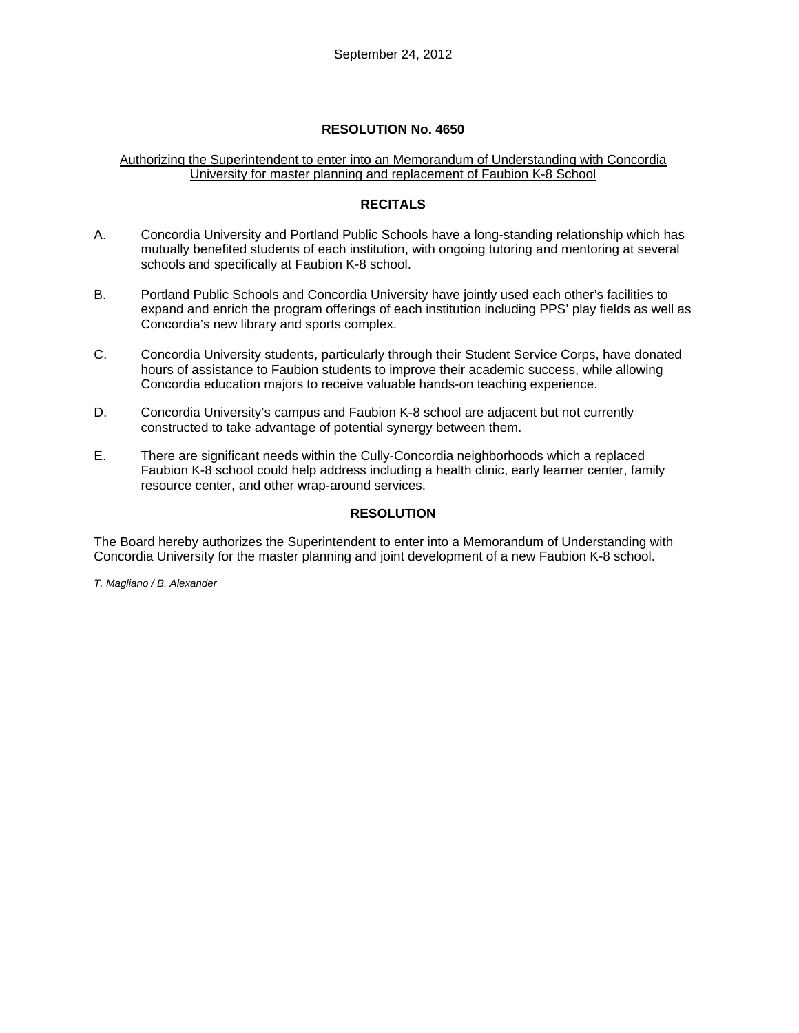# **RESOLUTION No. 4650**

### Authorizing the Superintendent to enter into an Memorandum of Understanding with Concordia University for master planning and replacement of Faubion K-8 School

# **RECITALS**

- A. Concordia University and Portland Public Schools have a long-standing relationship which has mutually benefited students of each institution, with ongoing tutoring and mentoring at several schools and specifically at Faubion K-8 school.
- B. Portland Public Schools and Concordia University have jointly used each other's facilities to expand and enrich the program offerings of each institution including PPS' play fields as well as Concordia's new library and sports complex.
- C. Concordia University students, particularly through their Student Service Corps, have donated hours of assistance to Faubion students to improve their academic success, while allowing Concordia education majors to receive valuable hands-on teaching experience.
- D. Concordia University's campus and Faubion K-8 school are adjacent but not currently constructed to take advantage of potential synergy between them.
- E. There are significant needs within the Cully-Concordia neighborhoods which a replaced Faubion K-8 school could help address including a health clinic, early learner center, family resource center, and other wrap-around services.

# **RESOLUTION**

The Board hereby authorizes the Superintendent to enter into a Memorandum of Understanding with Concordia University for the master planning and joint development of a new Faubion K-8 school.

*T. Magliano / B. Alexander*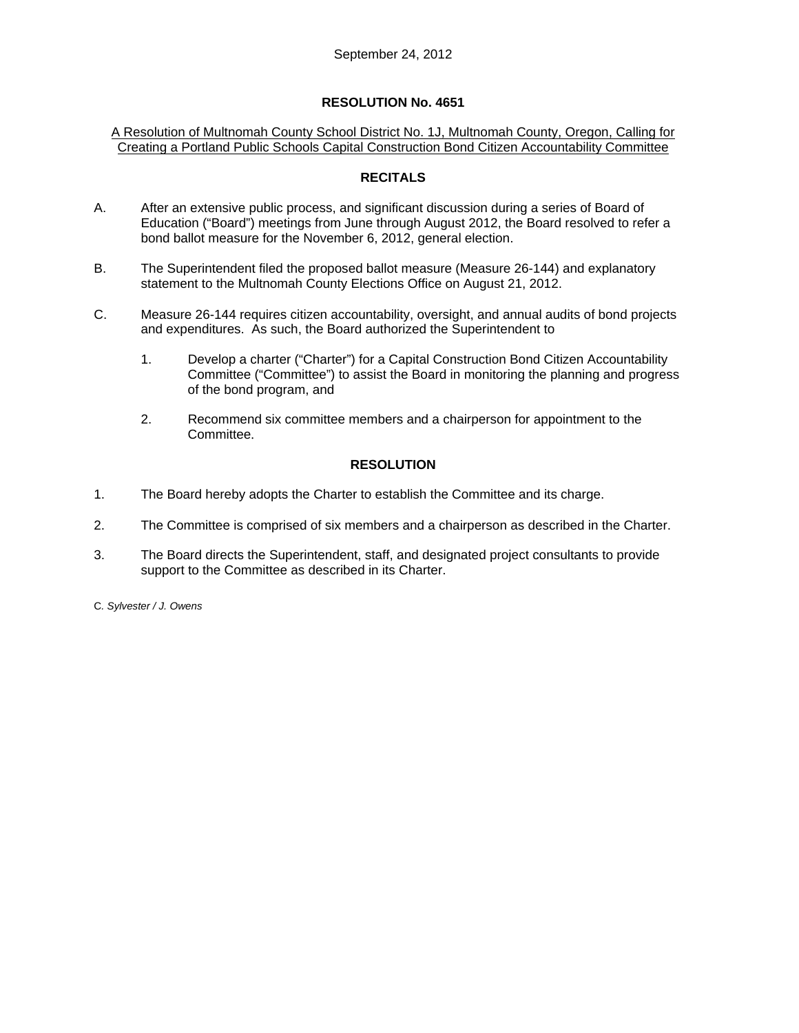## **RESOLUTION No. 4651**

### A Resolution of Multnomah County School District No. 1J, Multnomah County, Oregon, Calling for Creating a Portland Public Schools Capital Construction Bond Citizen Accountability Committee

### **RECITALS**

- A. After an extensive public process, and significant discussion during a series of Board of Education ("Board") meetings from June through August 2012, the Board resolved to refer a bond ballot measure for the November 6, 2012, general election.
- B. The Superintendent filed the proposed ballot measure (Measure 26-144) and explanatory statement to the Multnomah County Elections Office on August 21, 2012.
- C. Measure 26-144 requires citizen accountability, oversight, and annual audits of bond projects and expenditures. As such, the Board authorized the Superintendent to
	- 1. Develop a charter ("Charter") for a Capital Construction Bond Citizen Accountability Committee ("Committee") to assist the Board in monitoring the planning and progress of the bond program, and
	- 2. Recommend six committee members and a chairperson for appointment to the Committee.

### **RESOLUTION**

- 1. The Board hereby adopts the Charter to establish the Committee and its charge.
- 2. The Committee is comprised of six members and a chairperson as described in the Charter.
- 3. The Board directs the Superintendent, staff, and designated project consultants to provide support to the Committee as described in its Charter.
- C*. Sylvester / J. Owens*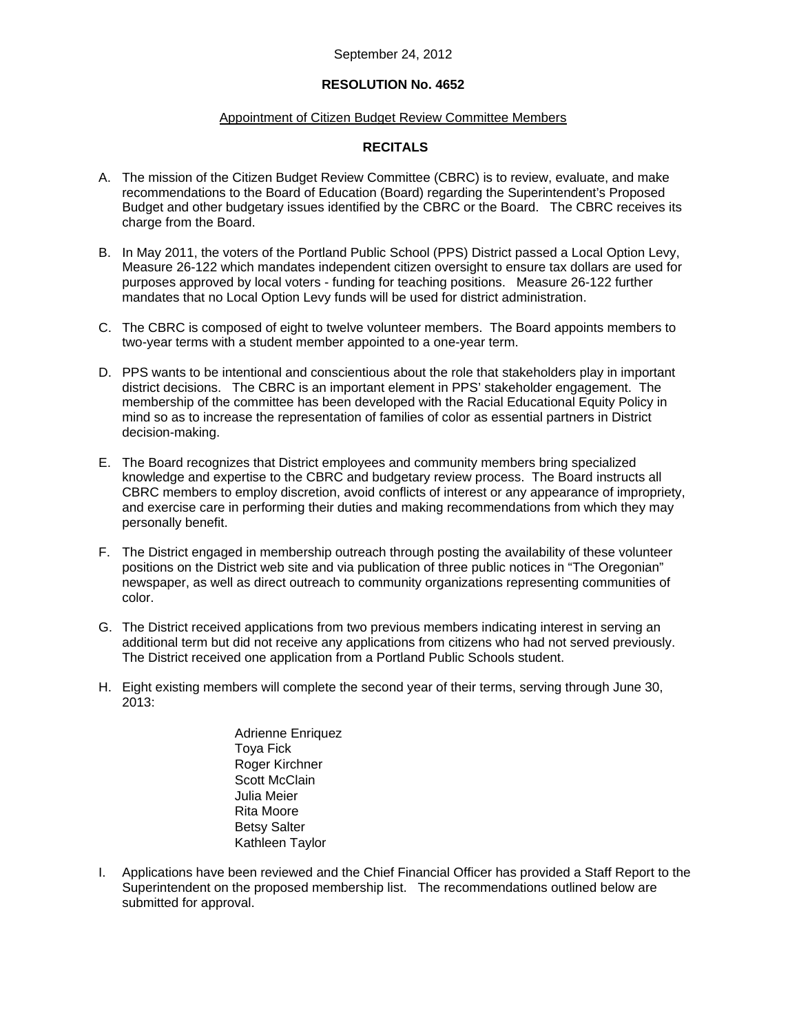#### September 24, 2012

#### **RESOLUTION No. 4652**

#### Appointment of Citizen Budget Review Committee Members

#### **RECITALS**

- A. The mission of the Citizen Budget Review Committee (CBRC) is to review, evaluate, and make recommendations to the Board of Education (Board) regarding the Superintendent's Proposed Budget and other budgetary issues identified by the CBRC or the Board. The CBRC receives its charge from the Board.
- B. In May 2011, the voters of the Portland Public School (PPS) District passed a Local Option Levy, Measure 26-122 which mandates independent citizen oversight to ensure tax dollars are used for purposes approved by local voters - funding for teaching positions. Measure 26-122 further mandates that no Local Option Levy funds will be used for district administration.
- C. The CBRC is composed of eight to twelve volunteer members. The Board appoints members to two-year terms with a student member appointed to a one-year term.
- D. PPS wants to be intentional and conscientious about the role that stakeholders play in important district decisions. The CBRC is an important element in PPS' stakeholder engagement. The membership of the committee has been developed with the Racial Educational Equity Policy in mind so as to increase the representation of families of color as essential partners in District decision-making.
- E. The Board recognizes that District employees and community members bring specialized knowledge and expertise to the CBRC and budgetary review process. The Board instructs all CBRC members to employ discretion, avoid conflicts of interest or any appearance of impropriety, and exercise care in performing their duties and making recommendations from which they may personally benefit.
- F. The District engaged in membership outreach through posting the availability of these volunteer positions on the District web site and via publication of three public notices in "The Oregonian" newspaper, as well as direct outreach to community organizations representing communities of color.
- G. The District received applications from two previous members indicating interest in serving an additional term but did not receive any applications from citizens who had not served previously. The District received one application from a Portland Public Schools student.
- H. Eight existing members will complete the second year of their terms, serving through June 30, 2013:
	- Adrienne Enriquez Toya Fick Roger Kirchner Scott McClain Julia Meier Rita Moore Betsy Salter Kathleen Taylor
- I. Applications have been reviewed and the Chief Financial Officer has provided a Staff Report to the Superintendent on the proposed membership list. The recommendations outlined below are submitted for approval.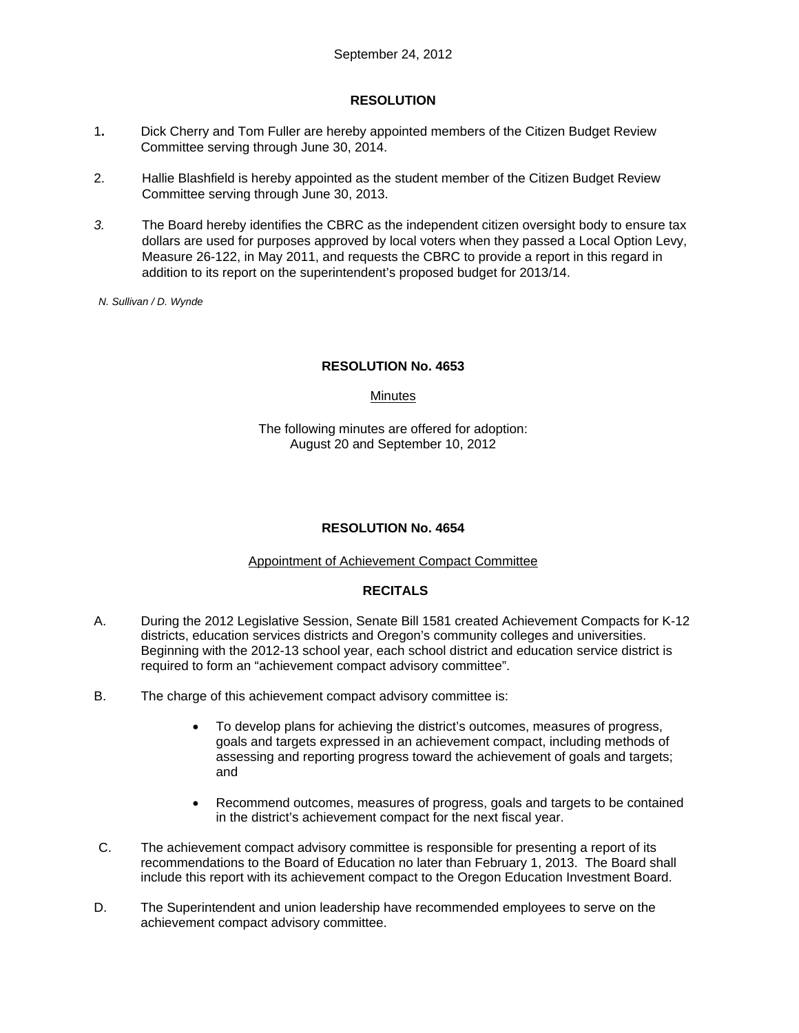# **RESOLUTION**

- 1**.** Dick Cherry and Tom Fuller are hereby appointed members of the Citizen Budget Review Committee serving through June 30, 2014.
- 2. Hallie Blashfield is hereby appointed as the student member of the Citizen Budget Review Committee serving through June 30, 2013.
- *3.* The Board hereby identifies the CBRC as the independent citizen oversight body to ensure tax dollars are used for purposes approved by local voters when they passed a Local Option Levy, Measure 26-122, in May 2011, and requests the CBRC to provide a report in this regard in addition to its report on the superintendent's proposed budget for 2013/14.
- *N. Sullivan / D. Wynde*

# **RESOLUTION No. 4653**

# **Minutes**

The following minutes are offered for adoption: August 20 and September 10, 2012

# **RESOLUTION No. 4654**

#### Appointment of Achievement Compact Committee

# **RECITALS**

- A. During the 2012 Legislative Session, Senate Bill 1581 created Achievement Compacts for K-12 districts, education services districts and Oregon's community colleges and universities. Beginning with the 2012-13 school year, each school district and education service district is required to form an "achievement compact advisory committee".
- B. The charge of this achievement compact advisory committee is:
	- To develop plans for achieving the district's outcomes, measures of progress, goals and targets expressed in an achievement compact, including methods of assessing and reporting progress toward the achievement of goals and targets; and
	- Recommend outcomes, measures of progress, goals and targets to be contained in the district's achievement compact for the next fiscal year.
- C. The achievement compact advisory committee is responsible for presenting a report of its recommendations to the Board of Education no later than February 1, 2013. The Board shall include this report with its achievement compact to the Oregon Education Investment Board.
- D. The Superintendent and union leadership have recommended employees to serve on the achievement compact advisory committee.